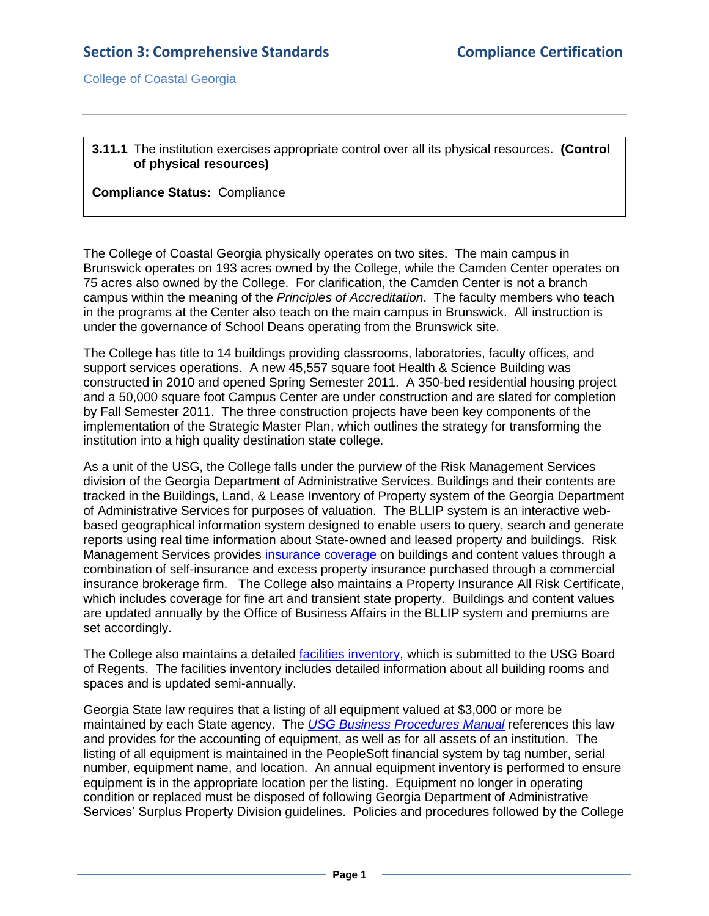College of Coastal Georgia

## **3.11.1** The institution exercises appropriate control over all its physical resources. **(Control of physical resources)**

## **Compliance Status:** Compliance

The College of Coastal Georgia physically operates on two sites. The main campus in Brunswick operates on 193 acres owned by the College, while the Camden Center operates on 75 acres also owned by the College. For clarification, the Camden Center is not a branch campus within the meaning of the *Principles of Accreditation*. The faculty members who teach in the programs at the Center also teach on the main campus in Brunswick. All instruction is under the governance of School Deans operating from the Brunswick site.

The College has title to 14 buildings providing classrooms, laboratories, faculty offices, and support services operations. A new 45,557 square foot Health & Science Building was constructed in 2010 and opened Spring Semester 2011. A 350-bed residential housing project and a 50,000 square foot Campus Center are under construction and are slated for completion by Fall Semester 2011. The three construction projects have been key components of the implementation of the Strategic Master Plan, which outlines the strategy for transforming the institution into a high quality destination state college.

As a unit of the USG, the College falls under the purview of the Risk Management Services division of the Georgia Department of Administrative Services. Buildings and their contents are tracked in the Buildings, Land, & Lease Inventory of Property system of the Georgia Department of Administrative Services for purposes of valuation. The BLLIP system is an interactive webbased geographical information system designed to enable users to query, search and generate reports using real time information about State-owned and leased property and buildings. Risk Management Services provides [insurance coverage](3.11.1.bDOASInsCert.pdf#page=1) on buildings and content values through a combination of self-insurance and excess property insurance purchased through a commercial insurance brokerage firm. The College also maintains a Property Insurance All Risk Certificate, which includes coverage for fine art and transient state property. Buildings and content values are updated annually by the Office of Business Affairs in the BLLIP system and premiums are set accordingly.

The College also maintains a detailed *facilities inventory*, which is submitted to the USG Board of Regents. The facilities inventory includes detailed information about all building rooms and spaces and is updated semi-annually.

Georgia State law requires that a listing of all equipment valued at \$3,000 or more be maintained by each State agency. The *[USG Business Procedures Manual](3.11.1.dUSGBusinessProceduresManaual7.7.pdf#page=1)* references this law and provides for the accounting of equipment, as well as for all assets of an institution. The listing of all equipment is maintained in the PeopleSoft financial system by tag number, serial number, equipment name, and location. An annual equipment inventory is performed to ensure equipment is in the appropriate location per the listing. Equipment no longer in operating condition or replaced must be disposed of following Georgia Department of Administrative Services' Surplus Property Division guidelines. Policies and procedures followed by the College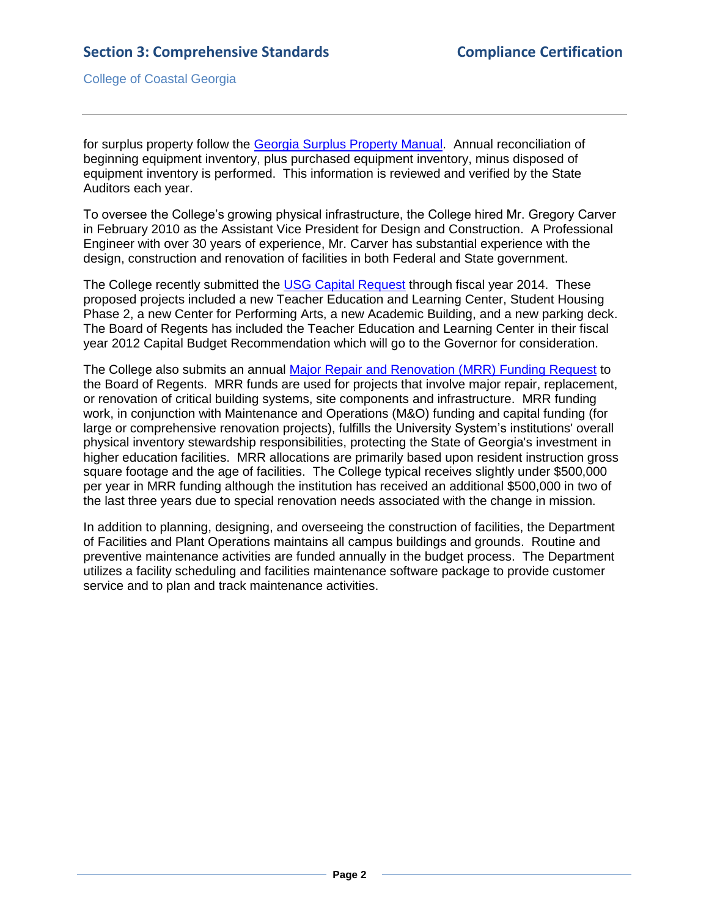College of Coastal Georgia

for surplus property follow the [Georgia Surplus Property Manual.](3.11.1.eGASurplusPropertyManual.pdf#page=1) Annual reconciliation of beginning equipment inventory, plus purchased equipment inventory, minus disposed of equipment inventory is performed. This information is reviewed and verified by the State Auditors each year.

To oversee the College's growing physical infrastructure, the College hired Mr. Gregory Carver in February 2010 as the Assistant Vice President for Design and Construction. A Professional Engineer with over 30 years of experience, Mr. Carver has substantial experience with the design, construction and renovation of facilities in both Federal and State government.

The College recently submitted the [USG Capital Request](3.11.1.fCapitalRequestForms.pdf#page=1) through fiscal year 2014. These proposed projects included a new Teacher Education and Learning Center, Student Housing Phase 2, a new Center for Performing Arts, a new Academic Building, and a new parking deck. The Board of Regents has included the Teacher Education and Learning Center in their fiscal year 2012 Capital Budget Recommendation which will go to the Governor for consideration.

The College also submits an annual [Major Repair and Renovation \(MRR\) Funding Request](2.11.2cMMRdocuments.pdf#page=1) to the Board of Regents. MRR funds are used for projects that involve major repair, replacement, or renovation of critical building systems, site components and infrastructure. MRR funding work, in conjunction with Maintenance and Operations (M&O) funding and capital funding (for large or comprehensive renovation projects), fulfills the University System's institutions' overall physical inventory stewardship responsibilities, protecting the State of Georgia's investment in higher education facilities. MRR allocations are primarily based upon resident instruction gross square footage and the age of facilities. The College typical receives slightly under \$500,000 per year in MRR funding although the institution has received an additional \$500,000 in two of the last three years due to special renovation needs associated with the change in mission.

In addition to planning, designing, and overseeing the construction of facilities, the Department of Facilities and Plant Operations maintains all campus buildings and grounds. Routine and preventive maintenance activities are funded annually in the budget process. The Department utilizes a facility scheduling and facilities maintenance software package to provide customer service and to plan and track maintenance activities.